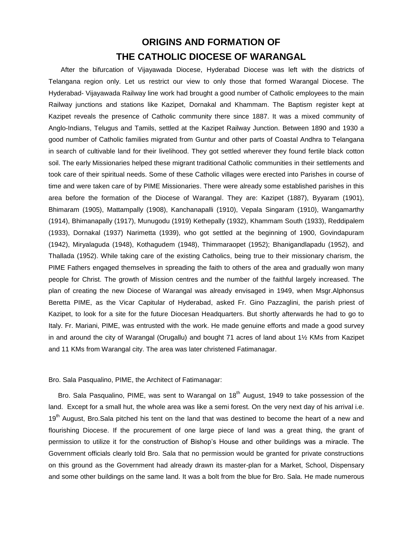# **ORIGINS AND FORMATION OF THE CATHOLIC DIOCESE OF WARANGAL**

After the bifurcation of Vijayawada Diocese, Hyderabad Diocese was left with the districts of Telangana region only. Let us restrict our view to only those that formed Warangal Diocese. The Hyderabad- Vijayawada Railway line work had brought a good number of Catholic employees to the main Railway junctions and stations like Kazipet, Dornakal and Khammam. The Baptism register kept at Kazipet reveals the presence of Catholic community there since 1887. It was a mixed community of Anglo-Indians, Telugus and Tamils, settled at the Kazipet Railway Junction. Between 1890 and 1930 a good number of Catholic families migrated from Guntur and other parts of Coastal Andhra to Telangana in search of cultivable land for their livelihood. They got settled wherever they found fertile black cotton soil. The early Missionaries helped these migrant traditional Catholic communities in their settlements and took care of their spiritual needs. Some of these Catholic villages were erected into Parishes in course of time and were taken care of by PIME Missionaries. There were already some established parishes in this area before the formation of the Diocese of Warangal. They are: Kazipet (1887), Byyaram (1901), Bhimaram (1905), Mattampally (1908), Kanchanapalli (1910), Vepala Singaram (1910), Wangamarthy (1914), Bhimanapally (1917), Munugodu (1919) Kethepally (1932), Khammam South (1933), Reddipalem (1933), Dornakal (1937) Narimetta (1939), who got settled at the beginning of 1900, Govindapuram (1942), Miryalaguda (1948), Kothagudem (1948), Thimmaraopet (1952); Bhanigandlapadu (1952), and Thallada (1952). While taking care of the existing Catholics, being true to their missionary charism, the PIME Fathers engaged themselves in spreading the faith to others of the area and gradually won many people for Christ. The growth of Mission centres and the number of the faithful largely increased. The plan of creating the new Diocese of Warangal was already envisaged in 1949, when Msgr.Alphonsus Beretta PIME, as the Vicar Capitular of Hyderabad, asked Fr. Gino Pazzaglini, the parish priest of Kazipet, to look for a site for the future Diocesan Headquarters. But shortly afterwards he had to go to Italy. Fr. Mariani, PIME, was entrusted with the work. He made genuine efforts and made a good survey in and around the city of Warangal (Orugallu) and bought 71 acres of land about 1½ KMs from Kazipet and 11 KMs from Warangal city. The area was later christened Fatimanagar.

Bro. Sala Pasqualino, PIME, the Architect of Fatimanagar:

Bro. Sala Pasqualino, PIME, was sent to Warangal on 18<sup>th</sup> August, 1949 to take possession of the land. Except for a small hut, the whole area was like a semi forest. On the very next day of his arrival i.e. 19<sup>th</sup> August, Bro.Sala pitched his tent on the land that was destined to become the heart of a new and flourishing Diocese. If the procurement of one large piece of land was a great thing, the grant of permission to utilize it for the construction of Bishop"s House and other buildings was a miracle. The Government officials clearly told Bro. Sala that no permission would be granted for private constructions on this ground as the Government had already drawn its master-plan for a Market, School, Dispensary and some other buildings on the same land. It was a bolt from the blue for Bro. Sala. He made numerous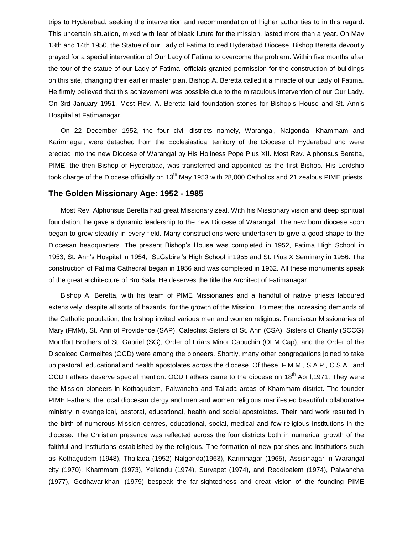trips to Hyderabad, seeking the intervention and recommendation of higher authorities to in this regard. This uncertain situation, mixed with fear of bleak future for the mission, lasted more than a year. On May 13th and 14th 1950, the Statue of our Lady of Fatima toured Hyderabad Diocese. Bishop Beretta devoutly prayed for a special intervention of Our Lady of Fatima to overcome the problem. Within five months after the tour of the statue of our Lady of Fatima, officials granted permission for the construction of buildings on this site, changing their earlier master plan. Bishop A. Beretta called it a miracle of our Lady of Fatima. He firmly believed that this achievement was possible due to the miraculous intervention of our Our Lady. On 3rd January 1951, Most Rev. A. Beretta laid foundation stones for Bishop"s House and St. Ann"s Hospital at Fatimanagar.

On 22 December 1952, the four civil districts namely, Warangal, Nalgonda, Khammam and Karimnagar, were detached from the Ecclesiastical territory of the Diocese of Hyderabad and were erected into the new Diocese of Warangal by His Holiness Pope Pius XII. Most Rev. Alphonsus Beretta, PIME, the then Bishop of Hyderabad, was transferred and appointed as the first Bishop. His Lordship took charge of the Diocese officially on 13<sup>th</sup> May 1953 with 28,000 Catholics and 21 zealous PIME priests.

## **The Golden Missionary Age: 1952 - 1985**

Most Rev. Alphonsus Beretta had great Missionary zeal. With his Missionary vision and deep spiritual foundation, he gave a dynamic leadership to the new Diocese of Warangal. The new born diocese soon began to grow steadily in every field. Many constructions were undertaken to give a good shape to the Diocesan headquarters. The present Bishop"s House was completed in 1952, Fatima High School in 1953, St. Ann"s Hospital in 1954, St.Gabirel"s High School in1955 and St. Pius X Seminary in 1956. The construction of Fatima Cathedral began in 1956 and was completed in 1962. All these monuments speak of the great architecture of Bro.Sala. He deserves the title the Architect of Fatimanagar.

Bishop A. Beretta, with his team of PIME Missionaries and a handful of native priests laboured extensively, despite all sorts of hazards, for the growth of the Mission. To meet the increasing demands of the Catholic population, the bishop invited various men and women religious. Franciscan Missionaries of Mary (FMM), St. Ann of Providence (SAP), Catechist Sisters of St. Ann (CSA), Sisters of Charity (SCCG) Montfort Brothers of St. Gabriel (SG), Order of Friars Minor Capuchin (OFM Cap), and the Order of the Discalced Carmelites (OCD) were among the pioneers. Shortly, many other congregations joined to take up pastoral, educational and health apostolates across the diocese. Of these, F.M.M., S.A.P., C.S.A., and OCD Fathers deserve special mention. OCD Fathers came to the diocese on  $18<sup>th</sup>$  April,1971. They were the Mission pioneers in Kothagudem, Palwancha and Tallada areas of Khammam district. The founder PIME Fathers, the local diocesan clergy and men and women religious manifested beautiful collaborative ministry in evangelical, pastoral, educational, health and social apostolates. Their hard work resulted in the birth of numerous Mission centres, educational, social, medical and few religious institutions in the diocese. The Christian presence was reflected across the four districts both in numerical growth of the faithful and institutions established by the religious. The formation of new parishes and institutions such as Kothagudem (1948), Thallada (1952) Nalgonda(1963), Karimnagar (1965), Assisinagar in Warangal city (1970), Khammam (1973), Yellandu (1974), Suryapet (1974), and Reddipalem (1974), Palwancha (1977), Godhavarikhani (1979) bespeak the far-sightedness and great vision of the founding PIME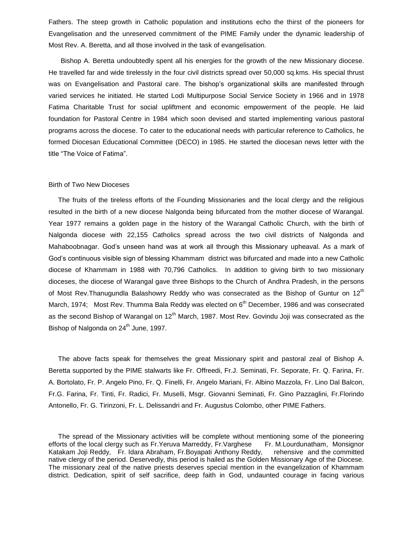Fathers. The steep growth in Catholic population and institutions echo the thirst of the pioneers for Evangelisation and the unreserved commitment of the PIME Family under the dynamic leadership of Most Rev. A. Beretta, and all those involved in the task of evangelisation.

Bishop A. Beretta undoubtedly spent all his energies for the growth of the new Missionary diocese. He travelled far and wide tirelessly in the four civil districts spread over 50,000 sq.kms. His special thrust was on Evangelisation and Pastoral care. The bishop's organizational skills are manifested through varied services he initiated. He started Lodi Multipurpose Social Service Society in 1966 and in 1978 Fatima Charitable Trust for social upliftment and economic empowerment of the people. He laid foundation for Pastoral Centre in 1984 which soon devised and started implementing various pastoral programs across the diocese. To cater to the educational needs with particular reference to Catholics, he formed Diocesan Educational Committee (DECO) in 1985. He started the diocesan news letter with the title "The Voice of Fatima".

#### Birth of Two New Dioceses

The fruits of the tireless efforts of the Founding Missionaries and the local clergy and the religious resulted in the birth of a new diocese Nalgonda being bifurcated from the mother diocese of Warangal. Year 1977 remains a golden page in the history of the Warangal Catholic Church, with the birth of Nalgonda diocese with 22,155 Catholics spread across the two civil districts of Nalgonda and Mahaboobnagar. God"s unseen hand was at work all through this Missionary upheaval. As a mark of God"s continuous visible sign of blessing Khammam district was bifurcated and made into a new Catholic diocese of Khammam in 1988 with 70,796 Catholics. In addition to giving birth to two missionary dioceses, the diocese of Warangal gave three Bishops to the Church of Andhra Pradesh, in the persons of Most Rev. Thanugundla Balashowry Reddy who was consecrated as the Bishop of Guntur on 12<sup>th</sup> March, 1974; Most Rev. Thumma Bala Reddy was elected on  $6<sup>th</sup>$  December, 1986 and was consecrated as the second Bishop of Warangal on  $12<sup>th</sup>$  March, 1987. Most Rev. Govindu Joji was consecrated as the Bishop of Nalgonda on 24<sup>th</sup> June, 1997.

The above facts speak for themselves the great Missionary spirit and pastoral zeal of Bishop A. Beretta supported by the PIME stalwarts like Fr. Offreedi, Fr.J. Seminati, Fr. Seporate, Fr. Q. Farina, Fr. A. Bortolato, Fr. P. Angelo Pino, Fr. Q. Finelli, Fr. Angelo Mariani, Fr. Albino Mazzola, Fr. Lino Dal Balcon, Fr.G. Farina, Fr. Tinti, Fr. Radici, Fr. Muselli, Msgr. Giovanni Seminati, Fr. Gino Pazzaglini, Fr.Florindo Antonello, Fr. G. Tirinzoni, Fr. L. Delissandri and Fr. Augustus Colombo, other PIME Fathers.

The spread of the Missionary activities will be complete without mentioning some of the pioneering efforts of the local clergy such as Fr.Yeruva Marreddy, Fr.Varghese Fr. M.Lourdunatham, Monsignor Katakam Joji Reddy, Fr. Idara Abraham, Fr.Boyapati Anthony Reddy, rehensive and the committed native clergy of the period. Deservedly, this period is hailed as the Golden Missionary Age of the Diocese. The missionary zeal of the native priests deserves special mention in the evangelization of Khammam district. Dedication, spirit of self sacrifice, deep faith in God, undaunted courage in facing various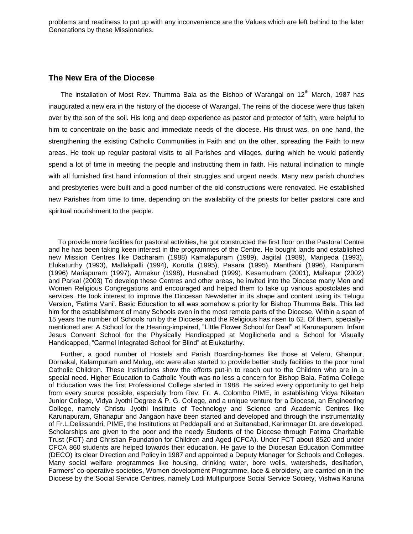problems and readiness to put up with any inconvenience are the Values which are left behind to the later Generations by these Missionaries.

# **The New Era of the Diocese**

The installation of Most Rev. Thumma Bala as the Bishop of Warangal on  $12<sup>th</sup>$  March, 1987 has inaugurated a new era in the history of the diocese of Warangal. The reins of the diocese were thus taken over by the son of the soil. His long and deep experience as pastor and protector of faith, were helpful to him to concentrate on the basic and immediate needs of the diocese. His thrust was, on one hand, the strengthening the existing Catholic Communities in Faith and on the other, spreading the Faith to new areas. He took up regular pastoral visits to all Parishes and villages, during which he would patiently spend a lot of time in meeting the people and instructing them in faith. His natural inclination to mingle with all furnished first hand information of their struggles and urgent needs. Many new parish churches and presbyteries were built and a good number of the old constructions were renovated. He established new Parishes from time to time, depending on the availability of the priests for better pastoral care and spiritual nourishment to the people.

To provide more facilities for pastoral activities, he got constructed the first floor on the Pastoral Centre and he has been taking keen interest in the programmes of the Centre. He bought lands and established new Mission Centres like Dacharam (1988) Kamalapuram (1989), Jagital (1989), Maripeda (1993), Elukaturthy (1993), Mallakpalli (1994), Korutla (1995), Pasara (1995), Manthani (1996), Ranipuram (1996) Mariapuram (1997), Atmakur (1998), Husnabad (1999), Kesamudram (2001), Malkapur (2002) and Parkal (2003) To develop these Centres and other areas, he invited into the Diocese many Men and Women Religious Congregations and encouraged and helped them to take up various apostolates and services. He took interest to improve the Diocesan Newsletter in its shape and content using its Telugu Version, "Fatima Vani". Basic Education to all was somehow a priority for Bishop Thumma Bala. This led him for the establishment of many Schools even in the most remote parts of the Diocese. Within a span of 15 years the number of Schools run by the Diocese and the Religious has risen to 62. Of them, speciallymentioned are: A School for the Hearing-impaired, "Little Flower School for Deaf" at Karunapuram, Infant Jesus Convent School for the Physically Handicapped at Mogilicherla and a School for Visually Handicapped, "Carmel Integrated School for Blind" at Elukaturthy.

Further, a good number of Hostels and Parish Boarding-homes like those at Veleru, Ghanpur, Dornakal, Kalampuram and Mulug, etc were also started to provide better study facilities to the poor rural Catholic Children. These Institutions show the efforts put-in to reach out to the Children who are in a special need. Higher Education to Catholic Youth was no less a concern for Bishop Bala. Fatima College of Education was the first Professional College started in 1988. He seized every opportunity to get help from every source possible, especially from Rev. Fr. A. Colombo PIME, in establishing Vidya Niketan Junior College, Vidya Jyothi Degree & P. G. College, and a unique venture for a Diocese, an Engineering College, namely Christu Jyothi Institute of Technology and Science and Academic Centres like Karunapuram, Ghanapur and Jangaon have been started and developed and through the instrumentality of Fr.L.Delissandri, PIME, the Institutions at Peddapalli and at Sultanabad, Karimnagar Dt. are developed. Scholarships are given to the poor and the needy Students of the Diocese through Fatima Charitable Trust (FCT) and Christian Foundation for Children and Aged (CFCA). Under FCT about 8520 and under CFCA 860 students are helped towards their education. He gave to the Diocesan Education Committee (DECO) its clear Direction and Policy in 1987 and appointed a Deputy Manager for Schools and Colleges. Many social welfare programmes like housing, drinking water, bore wells, watersheds, desiltation, Farmers" co-operative societies, Women development Programme, lace & ebroidery, are carried on in the Diocese by the Social Service Centres, namely Lodi Multipurpose Social Service Society, Vishwa Karuna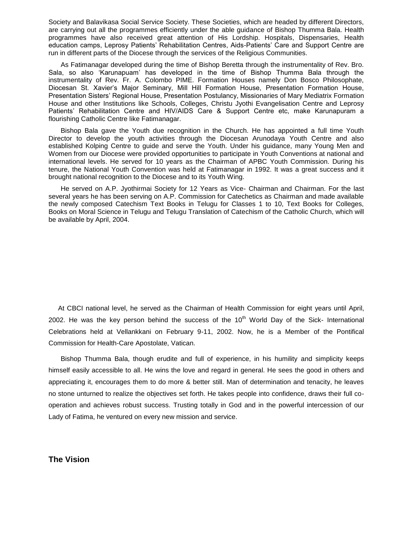Society and Balavikasa Social Service Society. These Societies, which are headed by different Directors, are carrying out all the programmes efficiently under the able guidance of Bishop Thumma Bala. Health programmes have also received great attention of His Lordship. Hospitals, Dispensaries, Health education camps, Leprosy Patients" Rehabilitation Centres, Aids-Patients" Care and Support Centre are run in different parts of the Diocese through the services of the Religious Communities.

As Fatimanagar developed during the time of Bishop Beretta through the instrumentality of Rev. Bro. Sala, so also "Karunapuam" has developed in the time of Bishop Thumma Bala through the instrumentality of Rev. Fr. A. Colombo PIME. Formation Houses namely Don Bosco Philosophate, Diocesan St. Xavier"s Major Seminary, Mill Hill Formation House, Presentation Formation House, Presentation Sisters" Regional House, Presentation Postulancy, Missionaries of Mary Mediatrix Formation House and other Institutions like Schools, Colleges, Christu Jyothi Evangelisation Centre and Leprosy Patients' Rehabilitation Centre and HIV/AIDS Care & Support Centre etc, make Karunapuram a flourishing Catholic Centre like Fatimanagar.

Bishop Bala gave the Youth due recognition in the Church. He has appointed a full time Youth Director to develop the youth activities through the Diocesan Arunodaya Youth Centre and also established Kolping Centre to guide and serve the Youth. Under his guidance, many Young Men and Women from our Diocese were provided opportunities to participate in Youth Conventions at national and international levels. He served for 10 years as the Chairman of APBC Youth Commission. During his tenure, the National Youth Convention was held at Fatimanagar in 1992. It was a great success and it brought national recognition to the Diocese and to its Youth Wing.

He served on A.P. Jyothirmai Society for 12 Years as Vice- Chairman and Chairman. For the last several years he has been serving on A.P. Commission for Catechetics as Chairman and made available the newly composed Catechism Text Books in Telugu for Classes 1 to 10, Text Books for Colleges, Books on Moral Science in Telugu and Telugu Translation of Catechism of the Catholic Church, which will be available by April, 2004.

At CBCI national level, he served as the Chairman of Health Commission for eight years until April, 2002. He was the key person behind the success of the  $10<sup>th</sup>$  World Day of the Sick- International Celebrations held at Vellankkani on February 9-11, 2002. Now, he is a Member of the Pontifical Commission for Health-Care Apostolate, Vatican.

Bishop Thumma Bala, though erudite and full of experience, in his humility and simplicity keeps himself easily accessible to all. He wins the love and regard in general. He sees the good in others and appreciating it, encourages them to do more & better still. Man of determination and tenacity, he leaves no stone unturned to realize the objectives set forth. He takes people into confidence, draws their full cooperation and achieves robust success. Trusting totally in God and in the powerful intercession of our Lady of Fatima, he ventured on every new mission and service.

## **The Vision**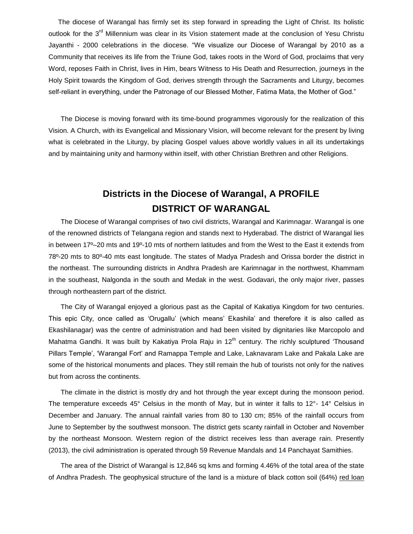The diocese of Warangal has firmly set its step forward in spreading the Light of Christ. Its holistic outlook for the 3<sup>rd</sup> Millennium was clear in its Vision statement made at the conclusion of Yesu Christu Jayanthi - 2000 celebrations in the diocese. "We visualize our Diocese of Warangal by 2010 as a Community that receives its life from the Triune God, takes roots in the Word of God, proclaims that very Word, reposes Faith in Christ, lives in Him, bears Witness to His Death and Resurrection, journeys in the Holy Spirit towards the Kingdom of God, derives strength through the Sacraments and Liturgy, becomes self-reliant in everything, under the Patronage of our Blessed Mother, Fatima Mata, the Mother of God."

The Diocese is moving forward with its time-bound programmes vigorously for the realization of this Vision. A Church, with its Evangelical and Missionary Vision, will become relevant for the present by living what is celebrated in the Liturgy, by placing Gospel values above worldly values in all its undertakings and by maintaining unity and harmony within itself, with other Christian Brethren and other Religions.

# **Districts in the Diocese of Warangal, A PROFILE DISTRICT OF WARANGAL**

The Diocese of Warangal comprises of two civil districts, Warangal and Karimnagar. Warangal is one of the renowned districts of Telangana region and stands next to Hyderabad. The district of Warangal lies in between 17º–20 mts and 19º-10 mts of northern latitudes and from the West to the East it extends from 78º-20 mts to 80º-40 mts east longitude. The states of Madya Pradesh and Orissa border the district in the northeast. The surrounding districts in Andhra Pradesh are Karimnagar in the northwest, Khammam in the southeast, Nalgonda in the south and Medak in the west. Godavari, the only major river, passes through northeastern part of the district.

The City of Warangal enjoyed a glorious past as the Capital of Kakatiya Kingdom for two centuries. This epic City, once called as "Orugallu" (which means" Ekashila" and therefore it is also called as Ekashilanagar) was the centre of administration and had been visited by dignitaries like Marcopolo and Mahatma Gandhi. It was built by Kakatiya Prola Raju in 12<sup>th</sup> century. The richly sculptured 'Thousand Pillars Temple", "Warangal Fort" and Ramappa Temple and Lake, Laknavaram Lake and Pakala Lake are some of the historical monuments and places. They still remain the hub of tourists not only for the natives but from across the continents.

The climate in the district is mostly dry and hot through the year except during the monsoon period. The temperature exceeds 45° Celsius in the month of May, but in winter it falls to 12°- 14° Celsius in December and January. The annual rainfall varies from 80 to 130 cm; 85% of the rainfall occurs from June to September by the southwest monsoon. The district gets scanty rainfall in October and November by the northeast Monsoon. Western region of the district receives less than average rain. Presently (2013), the civil administration is operated through 59 Revenue Mandals and 14 Panchayat Samithies.

The area of the District of Warangal is 12,846 sq kms and forming 4.46% of the total area of the state of Andhra Pradesh. The geophysical structure of the land is a mixture of black cotton soil (64%) red loan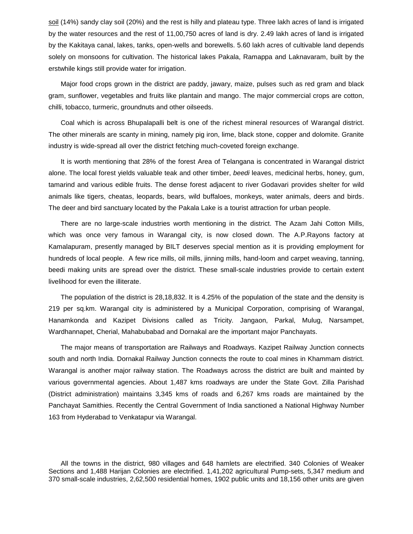soil (14%) sandy clay soil (20%) and the rest is hilly and plateau type. Three lakh acres of land is irrigated by the water resources and the rest of 11,00,750 acres of land is dry. 2.49 lakh acres of land is irrigated by the Kakitaya canal, lakes, tanks, open-wells and borewells. 5.60 lakh acres of cultivable land depends solely on monsoons for cultivation. The historical lakes Pakala, Ramappa and Laknavaram, built by the erstwhile kings still provide water for irrigation.

Major food crops grown in the district are paddy, jawary, maize, pulses such as red gram and black gram, sunflower, vegetables and fruits like plantain and mango. The major commercial crops are cotton, chilli, tobacco, turmeric, groundnuts and other oilseeds.

Coal which is across Bhupalapalli belt is one of the richest mineral resources of Warangal district. The other minerals are scanty in mining, namely pig iron, lime, black stone, copper and dolomite. Granite industry is wide-spread all over the district fetching much-coveted foreign exchange.

It is worth mentioning that 28% of the forest Area of Telangana is concentrated in Warangal district alone. The local forest yields valuable teak and other timber, *beedi* leaves, medicinal herbs, honey, gum, tamarind and various edible fruits. The dense forest adjacent to river Godavari provides shelter for wild animals like tigers, cheatas, leopards, bears, wild buffaloes, monkeys, water animals, deers and birds. The deer and bird sanctuary located by the Pakala Lake is a tourist attraction for urban people.

There are no large-scale industries worth mentioning in the district. The Azam Jahi Cotton Mills, which was once very famous in Warangal city, is now closed down. The A.P.Rayons factory at Kamalapuram, presently managed by BILT deserves special mention as it is providing employment for hundreds of local people. A few rice mills, oil mills, jinning mills, hand-loom and carpet weaving, tanning, beedi making units are spread over the district. These small-scale industries provide to certain extent livelihood for even the illiterate.

The population of the district is 28,18,832. It is 4.25% of the population of the state and the density is 219 per sq.km. Warangal city is administered by a Municipal Corporation, comprising of Warangal, Hanamkonda and Kazipet Divisions called as Tricity. Jangaon, Parkal, Mulug, Narsampet, Wardhannapet, Cherial, Mahabubabad and Dornakal are the important major Panchayats.

The major means of transportation are Railways and Roadways. Kazipet Railway Junction connects south and north India. Dornakal Railway Junction connects the route to coal mines in Khammam district. Warangal is another major railway station. The Roadways across the district are built and mainted by various governmental agencies. About 1,487 kms roadways are under the State Govt. Zilla Parishad (District administration) maintains 3,345 kms of roads and 6,267 kms roads are maintained by the Panchayat Samithies. Recently the Central Government of India sanctioned a National Highway Number 163 from Hyderabad to Venkatapur via Warangal.

All the towns in the district, 980 villages and 648 hamlets are electrified. 340 Colonies of Weaker Sections and 1,488 Harijan Colonies are electrified. 1,41,202 agricultural Pump-sets, 5,347 medium and 370 small-scale industries, 2,62,500 residential homes, 1902 public units and 18,156 other units are given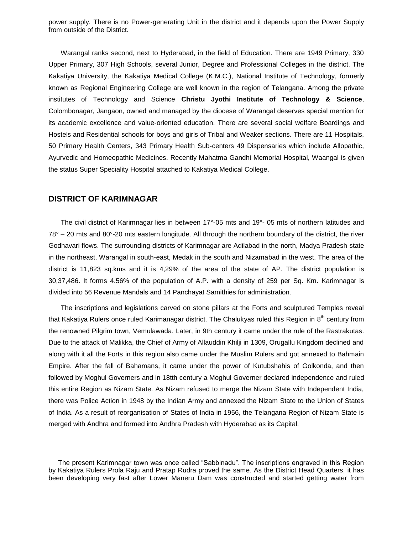power supply. There is no Power-generating Unit in the district and it depends upon the Power Supply from outside of the District.

Warangal ranks second, next to Hyderabad, in the field of Education. There are 1949 Primary, 330 Upper Primary, 307 High Schools, several Junior, Degree and Professional Colleges in the district. The Kakatiya University, the Kakatiya Medical College (K.M.C.), National Institute of Technology, formerly known as Regional Engineering College are well known in the region of Telangana. Among the private institutes of Technology and Science **Christu Jyothi Institute of Technology & Science**, Colombonagar, Jangaon, owned and managed by the diocese of Warangal deserves special mention for its academic excellence and value-oriented education. There are several social welfare Boardings and Hostels and Residential schools for boys and girls of Tribal and Weaker sections. There are 11 Hospitals, 50 Primary Health Centers, 343 Primary Health Sub-centers 49 Dispensaries which include Allopathic, Ayurvedic and Homeopathic Medicines. Recently Mahatma Gandhi Memorial Hospital, Waangal is given the status Super Speciality Hospital attached to Kakatiya Medical College.

### **DISTRICT OF KARIMNAGAR**

The civil district of Karimnagar lies in between 17°-05 mts and 19°- 05 mts of northern latitudes and 78° – 20 mts and 80°-20 mts eastern longitude. All through the northern boundary of the district, the river Godhavari flows. The surrounding districts of Karimnagar are Adilabad in the north, Madya Pradesh state in the northeast, Warangal in south-east, Medak in the south and Nizamabad in the west. The area of the district is 11,823 sq.kms and it is 4,29% of the area of the state of AP. The district population is 30,37,486. It forms 4.56% of the population of A.P. with a density of 259 per Sq. Km. Karimnagar is divided into 56 Revenue Mandals and 14 Panchayat Samithies for administration.

The inscriptions and legislations carved on stone pillars at the Forts and sculptured Temples reveal that Kakatiya Rulers once ruled Karimanagar district. The Chalukyas ruled this Region in 8<sup>th</sup> century from the renowned Pilgrim town, Vemulawada. Later, in 9th century it came under the rule of the Rastrakutas. Due to the attack of Malikka, the Chief of Army of Allauddin Khilji in 1309, Orugallu Kingdom declined and along with it all the Forts in this region also came under the Muslim Rulers and got annexed to Bahmain Empire. After the fall of Bahamans, it came under the power of Kutubshahis of Golkonda, and then followed by Moghul Governers and in 18tth century a Moghul Governer declared independence and ruled this entire Region as Nizam State. As Nizam refused to merge the Nizam State with Independent India, there was Police Action in 1948 by the Indian Army and annexed the Nizam State to the Union of States of India. As a result of reorganisation of States of India in 1956, the Telangana Region of Nizam State is merged with Andhra and formed into Andhra Pradesh with Hyderabad as its Capital.

The present Karimnagar town was once called "Sabbinadu". The inscriptions engraved in this Region by Kakatiya Rulers Prola Raju and Pratap Rudra proved the same. As the District Head Quarters, it has been developing very fast after Lower Maneru Dam was constructed and started getting water from